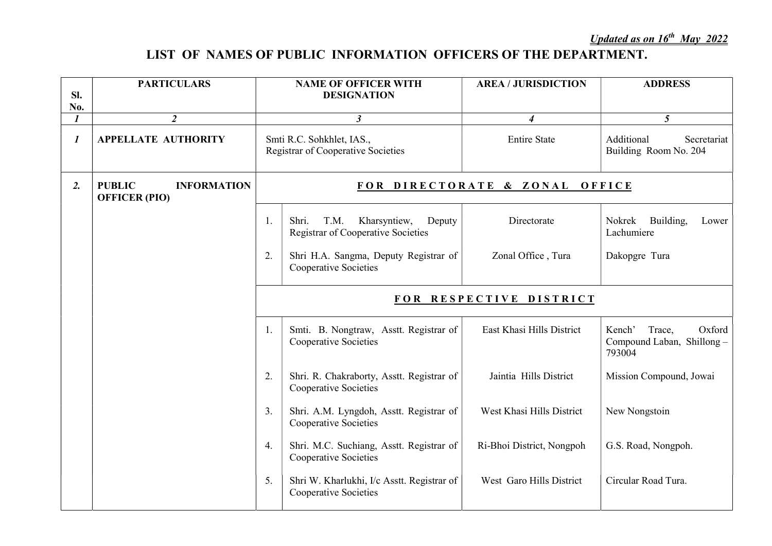## LIST OF NAMES OF PUBLIC INFORMATION OFFICERS OF THE DEPARTMENT.

| SI.<br>No.       | <b>PARTICULARS</b>                                          |                         | <b>NAME OF OFFICER WITH</b><br><b>DESIGNATION</b>                                    | <b>AREA / JURISDICTION</b> | <b>ADDRESS</b>                                                    |  |  |
|------------------|-------------------------------------------------------------|-------------------------|--------------------------------------------------------------------------------------|----------------------------|-------------------------------------------------------------------|--|--|
| $\mathbf{I}$     | $\overline{2}$                                              |                         | $\mathfrak{z}$                                                                       | $\boldsymbol{4}$           | 5 <sup>5</sup>                                                    |  |  |
| $\boldsymbol{l}$ | <b>APPELLATE AUTHORITY</b>                                  |                         | Smti R.C. Sohkhlet, IAS.,<br><b>Registrar of Cooperative Societies</b>               | <b>Entire State</b>        | Additional<br>Secretariat<br>Building Room No. 204                |  |  |
| 2.               | <b>PUBLIC</b><br><b>INFORMATION</b><br><b>OFFICER (PIO)</b> |                         | FOR DIRECTORATE & ZONAL<br>OFFICE                                                    |                            |                                                                   |  |  |
|                  |                                                             | 1.                      | Shri.<br>T.M.<br>Kharsyntiew,<br>Deputy<br><b>Registrar of Cooperative Societies</b> | Directorate                | Building,<br>Nokrek<br>Lower<br>Lachumiere                        |  |  |
|                  |                                                             | 2.                      | Shri H.A. Sangma, Deputy Registrar of<br><b>Cooperative Societies</b>                | Zonal Office, Tura         | Dakopgre Tura                                                     |  |  |
|                  |                                                             | FOR RESPECTIVE DISTRICT |                                                                                      |                            |                                                                   |  |  |
|                  |                                                             | 1.                      | Smti. B. Nongtraw, Asstt. Registrar of<br><b>Cooperative Societies</b>               | East Khasi Hills District  | Oxford<br>Kench'<br>Trace,<br>Compound Laban, Shillong-<br>793004 |  |  |
|                  |                                                             | 2.                      | Shri. R. Chakraborty, Asstt. Registrar of<br>Cooperative Societies                   | Jaintia Hills District     | Mission Compound, Jowai                                           |  |  |
|                  |                                                             | 3.                      | Shri. A.M. Lyngdoh, Asstt. Registrar of<br>Cooperative Societies                     | West Khasi Hills District  | New Nongstoin                                                     |  |  |
|                  |                                                             | 4.                      | Shri. M.C. Suchiang, Asstt. Registrar of<br><b>Cooperative Societies</b>             | Ri-Bhoi District, Nongpoh  | G.S. Road, Nongpoh.                                               |  |  |
|                  |                                                             | 5.                      | Shri W. Kharlukhi, I/c Asstt. Registrar of<br><b>Cooperative Societies</b>           | West Garo Hills District   | Circular Road Tura.                                               |  |  |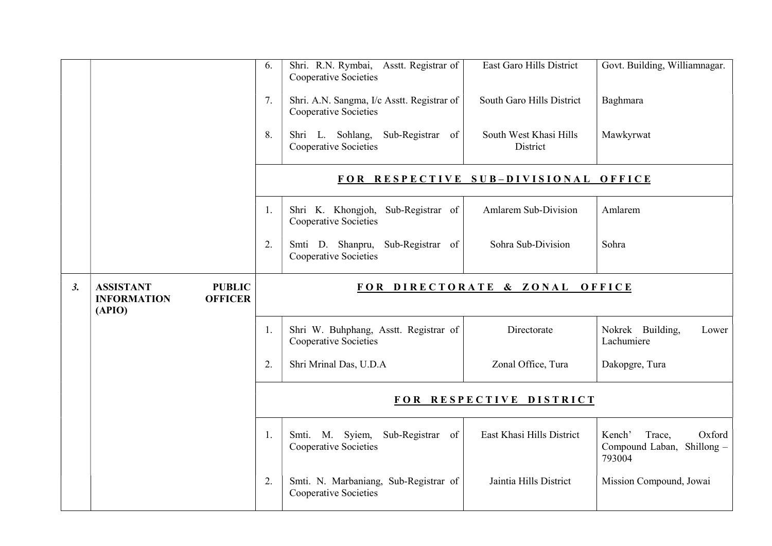|    |                                                                                     | 6.                                   | Shri. R.N. Rymbai, Asstt. Registrar of<br><b>Cooperative Societies</b> | East Garo Hills District           | Govt. Building, Williamnagar.                                      |
|----|-------------------------------------------------------------------------------------|--------------------------------------|------------------------------------------------------------------------|------------------------------------|--------------------------------------------------------------------|
|    |                                                                                     | 7.                                   | Shri. A.N. Sangma, I/c Asstt. Registrar of<br>Cooperative Societies    | South Garo Hills District          | Baghmara                                                           |
|    |                                                                                     | 8.                                   | Shri L. Sohlang, Sub-Registrar of<br><b>Cooperative Societies</b>      | South West Khasi Hills<br>District | Mawkyrwat                                                          |
|    |                                                                                     | FOR RESPECTIVE SUB-DIVISIONAL OFFICE |                                                                        |                                    |                                                                    |
|    |                                                                                     | 1.                                   | Shri K. Khongjoh, Sub-Registrar of<br>Cooperative Societies            | Amlarem Sub-Division               | Amlarem                                                            |
|    |                                                                                     | 2.                                   | Smti D. Shanpru, Sub-Registrar of<br>Cooperative Societies             | Sohra Sub-Division                 | Sohra                                                              |
| 3. | <b>PUBLIC</b><br><b>ASSISTANT</b><br><b>OFFICER</b><br><b>INFORMATION</b><br>(APIO) | FOR DIRECTORATE & ZONAL OFFICE       |                                                                        |                                    |                                                                    |
|    |                                                                                     | 1.                                   | Shri W. Buhphang, Asstt. Registrar of<br>Cooperative Societies         | Directorate                        | Nokrek Building,<br>Lower<br>Lachumiere                            |
|    |                                                                                     | 2.                                   | Shri Mrinal Das, U.D.A                                                 | Zonal Office, Tura                 | Dakopgre, Tura                                                     |
|    |                                                                                     | FOR RESPECTIVE DISTRICT              |                                                                        |                                    |                                                                    |
|    |                                                                                     | 1.                                   | Sub-Registrar of<br>Smti. M. Syiem,<br>Cooperative Societies           | East Khasi Hills District          | Oxford<br>Kench'<br>Trace,<br>Compound Laban, Shillong -<br>793004 |
|    |                                                                                     | 2.                                   | Smti. N. Marbaniang, Sub-Registrar of<br><b>Cooperative Societies</b>  | Jaintia Hills District             | Mission Compound, Jowai                                            |